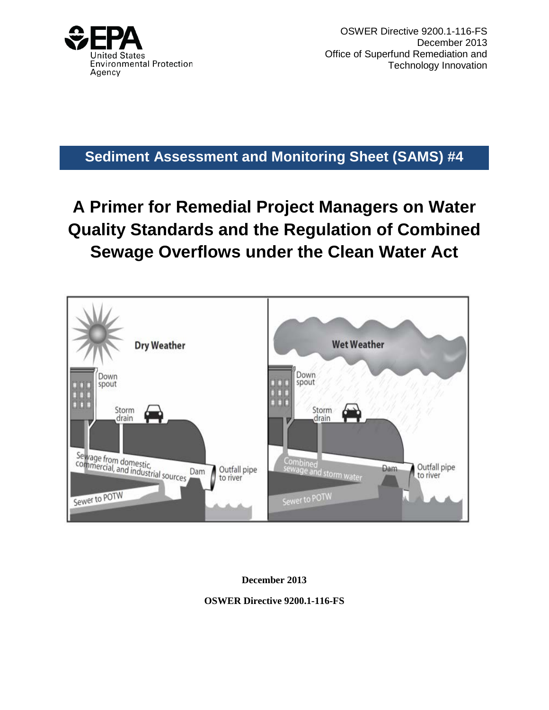

OSWER Directive 9200.1-116-FS December 2013 Office of Superfund Remediation and Technology Innovation

**Sediment Assessment and Monitoring Sheet (SAMS) #4**

# **A Primer for Remedial Project Managers on Water Quality Standards and the Regulation of Combined Sewage Overflows under the Clean Water Act**



**December 2013**

**OSWER Directive 9200.1-116-FS**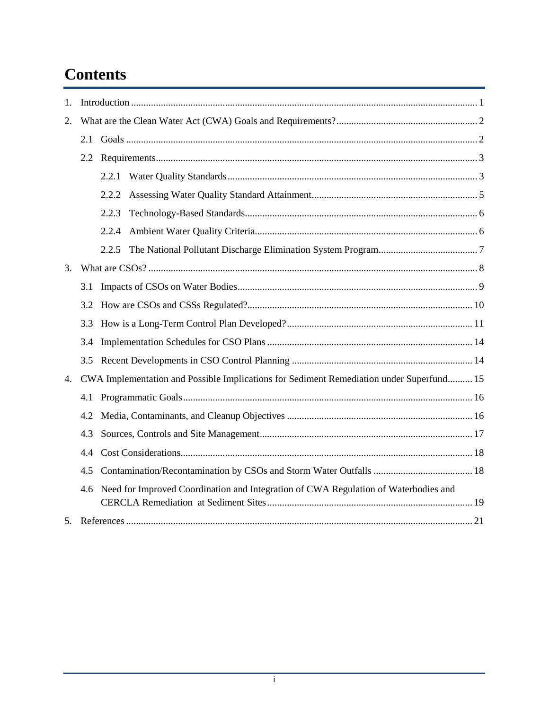# **Contents**

| 1. |                                                                                          |                                                                                     |  |  |  |
|----|------------------------------------------------------------------------------------------|-------------------------------------------------------------------------------------|--|--|--|
| 2. |                                                                                          |                                                                                     |  |  |  |
|    | 2.1                                                                                      |                                                                                     |  |  |  |
|    | 2.2                                                                                      |                                                                                     |  |  |  |
|    |                                                                                          | 2.2.1                                                                               |  |  |  |
|    |                                                                                          | 2.2.2                                                                               |  |  |  |
|    |                                                                                          | 2.2.3                                                                               |  |  |  |
|    |                                                                                          | 2.2.4                                                                               |  |  |  |
|    |                                                                                          | 2.2.5                                                                               |  |  |  |
| 3. |                                                                                          |                                                                                     |  |  |  |
|    | 3.1                                                                                      |                                                                                     |  |  |  |
|    | 3.2                                                                                      |                                                                                     |  |  |  |
|    | 3.3                                                                                      |                                                                                     |  |  |  |
|    | 3.4                                                                                      |                                                                                     |  |  |  |
|    | 3.5                                                                                      |                                                                                     |  |  |  |
| 4. | CWA Implementation and Possible Implications for Sediment Remediation under Superfund 15 |                                                                                     |  |  |  |
|    | 4.1                                                                                      |                                                                                     |  |  |  |
|    | 4.2                                                                                      |                                                                                     |  |  |  |
|    | 4.3                                                                                      |                                                                                     |  |  |  |
|    | 4.4                                                                                      |                                                                                     |  |  |  |
|    | 4.5                                                                                      |                                                                                     |  |  |  |
|    | 4.6                                                                                      | Need for Improved Coordination and Integration of CWA Regulation of Waterbodies and |  |  |  |
|    |                                                                                          |                                                                                     |  |  |  |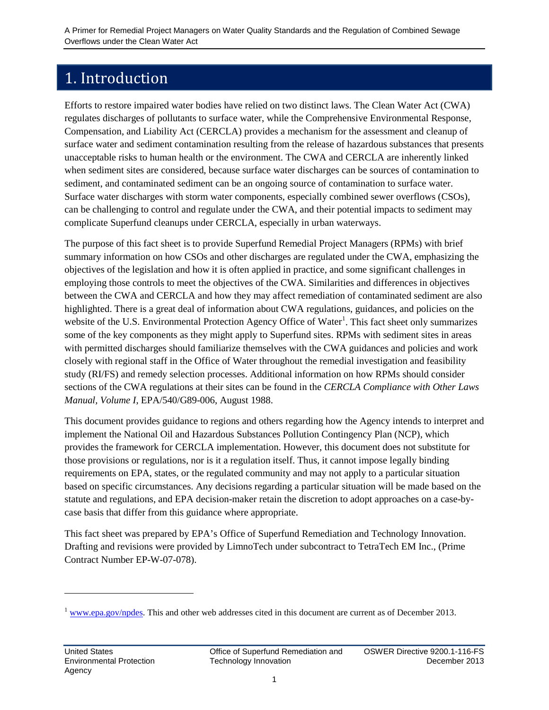## <span id="page-2-0"></span>1. Introduction

Efforts to restore impaired water bodies have relied on two distinct laws. The Clean Water Act (CWA) regulates discharges of pollutants to surface water, while the Comprehensive Environmental Response, Compensation, and Liability Act (CERCLA) provides a mechanism for the assessment and cleanup of surface water and sediment contamination resulting from the release of hazardous substances that presents unacceptable risks to human health or the environment. The CWA and CERCLA are inherently linked when sediment sites are considered, because surface water discharges can be sources of contamination to sediment, and contaminated sediment can be an ongoing source of contamination to surface water. Surface water discharges with storm water components, especially combined sewer overflows (CSOs), can be challenging to control and regulate under the CWA, and their potential impacts to sediment may complicate Superfund cleanups under CERCLA, especially in urban waterways.

The purpose of this fact sheet is to provide Superfund Remedial Project Managers (RPMs) with brief summary information on how CSOs and other discharges are regulated under the CWA, emphasizing the objectives of the legislation and how it is often applied in practice, and some significant challenges in employing those controls to meet the objectives of the CWA. Similarities and differences in objectives between the CWA and CERCLA and how they may affect remediation of contaminated sediment are also highlighted. There is a great deal of information about CWA regulations, guidances, and policies on the website of the U.S. Environmental Protection Agency Office of Water<sup>[1](#page-2-1)</sup>. This fact sheet only summarizes some of the key components as they might apply to Superfund sites. RPMs with sediment sites in areas with permitted discharges should familiarize themselves with the CWA guidances and policies and work closely with regional staff in the Office of Water throughout the remedial investigation and feasibility study (RI/FS) and remedy selection processes. Additional information on how RPMs should consider sections of the CWA regulations at their sites can be found in the *CERCLA Compliance with Other Laws Manual, Volume I*, EPA/540/G89-006, August 1988.

This document provides guidance to regions and others regarding how the Agency intends to interpret and implement the National Oil and Hazardous Substances Pollution Contingency Plan (NCP), which provides the framework for CERCLA implementation. However, this document does not substitute for those provisions or regulations, nor is it a regulation itself. Thus, it cannot impose legally binding requirements on EPA, states, or the regulated community and may not apply to a particular situation based on specific circumstances. Any decisions regarding a particular situation will be made based on the statute and regulations, and EPA decision-maker retain the discretion to adopt approaches on a case-bycase basis that differ from this guidance where appropriate.

This fact sheet was prepared by EPA's Office of Superfund Remediation and Technology Innovation. Drafting and revisions were provided by LimnoTech under subcontract to TetraTech EM Inc., (Prime Contract Number EP-W-07-078).

 $\ddot{\phantom{a}}$ 

<span id="page-2-1"></span><sup>&</sup>lt;sup>1</sup> [www.epa.gov/npdes.](http://www.epa.gov/npdes) This and other web addresses cited in this document are current as of December 2013.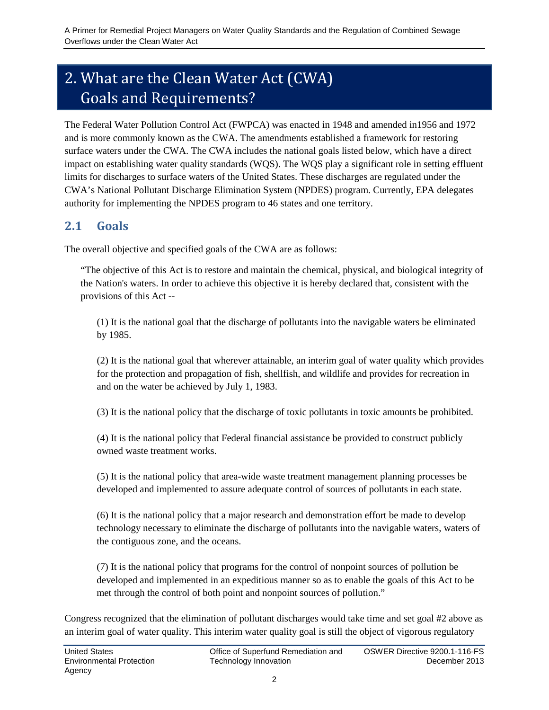# <span id="page-3-0"></span>2. What are the Clean Water Act (CWA) Goals and Requirements?

The Federal Water Pollution Control Act (FWPCA) was enacted in 1948 and amended in1956 and 1972 and is more commonly known as the CWA. The amendments established a framework for restoring surface waters under the CWA. The CWA includes the national goals listed below, which have a direct impact on establishing water quality standards (WQS). The WQS play a significant role in setting effluent limits for discharges to surface waters of the United States. These discharges are regulated under the CWA's National Pollutant Discharge Elimination System (NPDES) program. Currently, EPA delegates authority for implementing the NPDES program to 46 states and one territory.

#### <span id="page-3-1"></span>**2.1 Goals**

The overall objective and specified goals of the CWA are as follows:

"The objective of this Act is to restore and maintain the chemical, physical, and biological integrity of the Nation's waters. In order to achieve this objective it is hereby declared that, consistent with the provisions of this Act --

(1) It is the national goal that the discharge of pollutants into the navigable waters be eliminated by 1985.

(2) It is the national goal that wherever attainable, an interim goal of water quality which provides for the protection and propagation of fish, shellfish, and wildlife and provides for recreation in and on the water be achieved by July 1, 1983.

(3) It is the national policy that the discharge of toxic pollutants in toxic amounts be prohibited.

(4) It is the national policy that Federal financial assistance be provided to construct publicly owned waste treatment works.

(5) It is the national policy that area-wide waste treatment management planning processes be developed and implemented to assure adequate control of sources of pollutants in each state.

(6) It is the national policy that a major research and demonstration effort be made to develop technology necessary to eliminate the discharge of pollutants into the navigable waters, waters of the contiguous zone, and the oceans.

(7) It is the national policy that programs for the control of nonpoint sources of pollution be developed and implemented in an expeditious manner so as to enable the goals of this Act to be met through the control of both point and nonpoint sources of pollution."

Congress recognized that the elimination of pollutant discharges would take time and set goal #2 above as an interim goal of water quality. This interim water quality goal is still the object of vigorous regulatory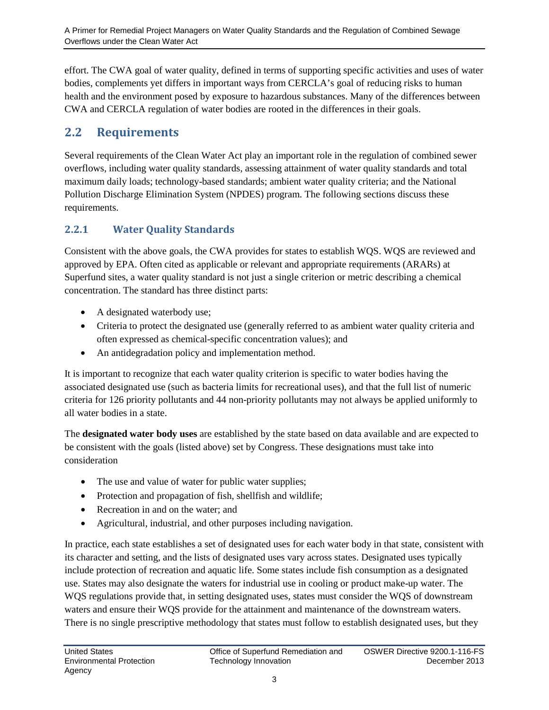effort. The CWA goal of water quality, defined in terms of supporting specific activities and uses of water bodies, complements yet differs in important ways from CERCLA's goal of reducing risks to human health and the environment posed by exposure to hazardous substances. Many of the differences between CWA and CERCLA regulation of water bodies are rooted in the differences in their goals.

#### <span id="page-4-0"></span>**2.2 Requirements**

Several requirements of the Clean Water Act play an important role in the regulation of combined sewer overflows, including water quality standards, assessing attainment of water quality standards and total maximum daily loads; technology-based standards; ambient water quality criteria; and the National Pollution Discharge Elimination System (NPDES) program. The following sections discuss these requirements.

#### <span id="page-4-1"></span>**2.2.1 Water Quality Standards**

Consistent with the above goals, the CWA provides for states to establish WQS. WQS are reviewed and approved by EPA. Often cited as applicable or relevant and appropriate requirements (ARARs) at Superfund sites, a water quality standard is not just a single criterion or metric describing a chemical concentration. The standard has three distinct parts:

- A designated waterbody use;
- Criteria to protect the designated use (generally referred to as ambient water quality criteria and often expressed as chemical-specific concentration values); and
- An antidegradation policy and implementation method.

It is important to recognize that each water quality criterion is specific to water bodies having the associated designated use (such as bacteria limits for recreational uses), and that the full list of numeric criteria for 126 priority pollutants and 44 non-priority pollutants may not always be applied uniformly to all water bodies in a state.

The **designated water body uses** are established by the state based on data available and are expected to be consistent with the goals (listed above) set by Congress. These designations must take into consideration

- The use and value of water for public water supplies;
- Protection and propagation of fish, shellfish and wildlife;
- Recreation in and on the water; and
- Agricultural, industrial, and other purposes including navigation.

In practice, each state establishes a set of designated uses for each water body in that state, consistent with its character and setting, and the lists of designated uses vary across states. Designated uses typically include protection of recreation and aquatic life. Some states include fish consumption as a designated use. States may also designate the waters for industrial use in cooling or product make-up water. The WQS regulations provide that, in setting designated uses, states must consider the WQS of downstream waters and ensure their WQS provide for the attainment and maintenance of the downstream waters. There is no single prescriptive methodology that states must follow to establish designated uses, but they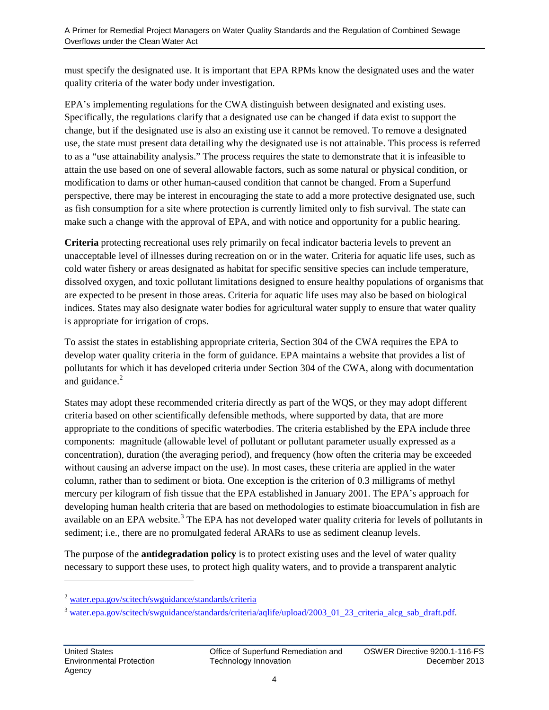must specify the designated use. It is important that EPA RPMs know the designated uses and the water quality criteria of the water body under investigation.

EPA's implementing regulations for the CWA distinguish between designated and existing uses. Specifically, the regulations clarify that a designated use can be changed if data exist to support the change, but if the designated use is also an existing use it cannot be removed. To remove a designated use, the state must present data detailing why the designated use is not attainable. This process is referred to as a "use attainability analysis." The process requires the state to demonstrate that it is infeasible to attain the use based on one of several allowable factors, such as some natural or physical condition, or modification to dams or other human-caused condition that cannot be changed. From a Superfund perspective, there may be interest in encouraging the state to add a more protective designated use, such as fish consumption for a site where protection is currently limited only to fish survival. The state can make such a change with the approval of EPA, and with notice and opportunity for a public hearing.

**Criteria** protecting recreational uses rely primarily on fecal indicator bacteria levels to prevent an unacceptable level of illnesses during recreation on or in the water. Criteria for aquatic life uses, such as cold water fishery or areas designated as habitat for specific sensitive species can include temperature, dissolved oxygen, and toxic pollutant limitations designed to ensure healthy populations of organisms that are expected to be present in those areas. Criteria for aquatic life uses may also be based on biological indices. States may also designate water bodies for agricultural water supply to ensure that water quality is appropriate for irrigation of crops.

To assist the states in establishing appropriate criteria, Section 304 of the CWA requires the EPA to develop water quality criteria in the form of guidance. EPA maintains a website that provides a list of pollutants for which it has developed criteria under Section 304 of the CWA, along with documentation and guidance.<sup>[2](#page-5-0)</sup>

States may adopt these recommended criteria directly as part of the WQS, or they may adopt different criteria based on other scientifically defensible methods, where supported by data, that are more appropriate to the conditions of specific waterbodies. The criteria established by the EPA include three components: magnitude (allowable level of pollutant or pollutant parameter usually expressed as a concentration), duration (the averaging period), and frequency (how often the criteria may be exceeded without causing an adverse impact on the use). In most cases, these criteria are applied in the water column, rather than to sediment or biota. One exception is the criterion of 0.3 milligrams of methyl mercury per kilogram of fish tissue that the EPA established in January 2001. The EPA's approach for developing human health criteria that are based on methodologies to estimate bioaccumulation in fish are available on an EPA website.<sup>[3](#page-5-1)</sup> The EPA has not developed water quality criteria for levels of pollutants in sediment; i.e., there are no promulgated federal ARARs to use as sediment cleanup levels.

The purpose of the **antidegradation policy** is to protect existing uses and the level of water quality necessary to support these uses, to protect high quality waters, and to provide a transparent analytic

 $\overline{a}$ 

<span id="page-5-0"></span><sup>2</sup> [water.epa.gov/scitech/swguidance/standards/criteria](http://water.epa.gov/scitech/swguidance/standards/criteria/)

<span id="page-5-1"></span><sup>&</sup>lt;sup>3</sup> [water.epa.gov/scitech/swguidance/standards/criteria/aqlife/upload/2003\\_01\\_23\\_criteria\\_alcg\\_sab\\_draft.pdf.](http://water.epa.gov/scitech/swguidance/standards/criteria/aqlife/upload/2003_01_23_criteria_alcg_sab_draft.pdf)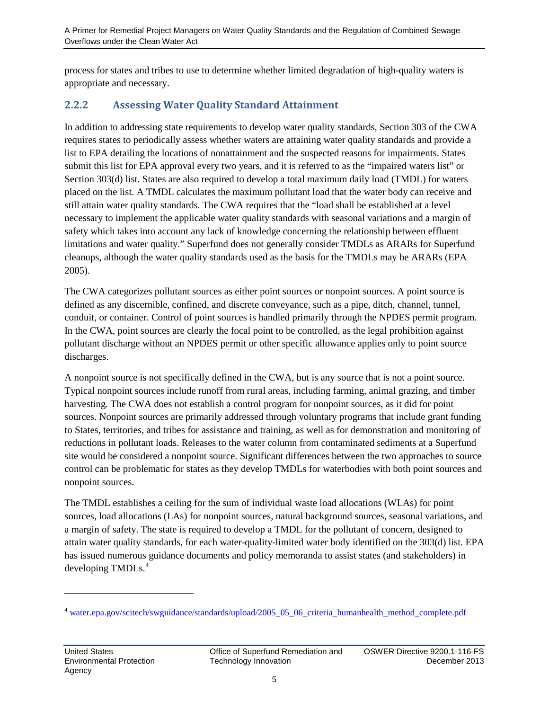process for states and tribes to use to determine whether limited degradation of high-quality waters is appropriate and necessary.

#### <span id="page-6-0"></span>**2.2.2 Assessing Water Quality Standard Attainment**

In addition to addressing state requirements to develop water quality standards, Section 303 of the CWA requires states to periodically assess whether waters are attaining water quality standards and provide a list to EPA detailing the locations of nonattainment and the suspected reasons for impairments. States submit this list for EPA approval every two years, and it is referred to as the "impaired waters list" or Section 303(d) list. States are also required to develop a total maximum daily load (TMDL) for waters placed on the list. A TMDL calculates the maximum pollutant load that the water body can receive and still attain water quality standards. The CWA requires that the "load shall be established at a level necessary to implement the applicable water quality standards with seasonal variations and a margin of safety which takes into account any lack of knowledge concerning the relationship between effluent limitations and water quality." Superfund does not generally consider TMDLs as ARARs for Superfund cleanups, although the water quality standards used as the basis for the TMDLs may be ARARs (EPA 2005).

The CWA categorizes pollutant sources as either point sources or nonpoint sources. A point source is defined as any discernible, confined, and discrete conveyance, such as a pipe, ditch, channel, tunnel, conduit, or container. Control of point sources is handled primarily through the NPDES permit program. In the CWA, point sources are clearly the focal point to be controlled, as the legal prohibition against pollutant discharge without an NPDES permit or other specific allowance applies only to point source discharges.

A nonpoint source is not specifically defined in the CWA, but is any source that is not a point source. Typical nonpoint sources include runoff from rural areas, including farming, animal grazing, and timber harvesting. The CWA does not establish a control program for nonpoint sources, as it did for point sources. Nonpoint sources are primarily addressed through voluntary programs that include grant funding to States, territories, and tribes for assistance and training, as well as for demonstration and monitoring of reductions in pollutant loads. Releases to the water column from contaminated sediments at a Superfund site would be considered a nonpoint source. Significant differences between the two approaches to source control can be problematic for states as they develop TMDLs for waterbodies with both point sources and nonpoint sources.

The TMDL establishes a ceiling for the sum of individual waste load allocations (WLAs) for point sources, load allocations (LAs) for nonpoint sources, natural background sources, seasonal variations, and a margin of safety. The state is required to develop a TMDL for the pollutant of concern, designed to attain water quality standards, for each water-quality-limited water body identified on the 303(d) list. EPA has issued numerous guidance documents and policy memoranda to assist states (and stakeholders) in developing TMDLs. [4](#page-6-1)

 $\ddot{\phantom{a}}$ 

<span id="page-6-1"></span><sup>&</sup>lt;sup>4</sup> [water.epa.gov/scitech/swguidance/standards/upload/2005\\_05\\_06\\_criteria\\_humanhealth\\_method\\_complete.pdf](http://water.epa.gov/scitech/swguidance/standards/upload/2005_05_06_criteria_humanhealth_method_complete.pdf)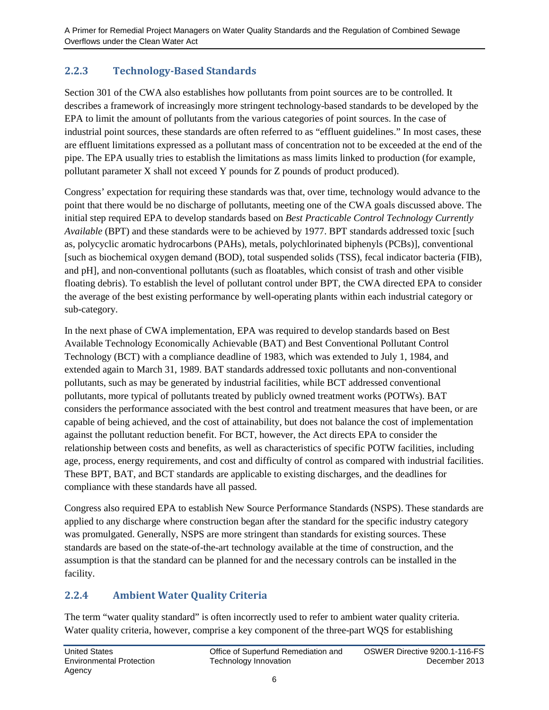#### <span id="page-7-0"></span>**2.2.3 Technology-Based Standards**

Section 301 of the CWA also establishes how pollutants from point sources are to be controlled. It describes a framework of increasingly more stringent technology-based standards to be developed by the EPA to limit the amount of pollutants from the various categories of point sources. In the case of industrial point sources, these standards are often referred to as "effluent guidelines." In most cases, these are effluent limitations expressed as a pollutant mass of concentration not to be exceeded at the end of the pipe. The EPA usually tries to establish the limitations as mass limits linked to production (for example, pollutant parameter X shall not exceed Y pounds for Z pounds of product produced).

Congress' expectation for requiring these standards was that, over time, technology would advance to the point that there would be no discharge of pollutants, meeting one of the CWA goals discussed above. The initial step required EPA to develop standards based on *Best Practicable Control Technology Currently Available* (BPT) and these standards were to be achieved by 1977. BPT standards addressed toxic [such as, polycyclic aromatic hydrocarbons (PAHs), metals, polychlorinated biphenyls (PCBs)], conventional [such as biochemical oxygen demand (BOD), total suspended solids (TSS), fecal indicator bacteria (FIB), and pH], and non-conventional pollutants (such as floatables, which consist of trash and other visible floating debris). To establish the level of pollutant control under BPT, the CWA directed EPA to consider the average of the best existing performance by well-operating plants within each industrial category or sub-category.

In the next phase of CWA implementation, EPA was required to develop standards based on Best Available Technology Economically Achievable (BAT) and Best Conventional Pollutant Control Technology (BCT) with a compliance deadline of 1983, which was extended to July 1, 1984, and extended again to March 31, 1989. BAT standards addressed toxic pollutants and non-conventional pollutants, such as may be generated by industrial facilities, while BCT addressed conventional pollutants, more typical of pollutants treated by publicly owned treatment works (POTWs). BAT considers the performance associated with the best control and treatment measures that have been, or are capable of being achieved, and the cost of attainability, but does not balance the cost of implementation against the pollutant reduction benefit. For BCT, however, the Act directs EPA to consider the relationship between costs and benefits, as well as characteristics of specific POTW facilities, including age, process, energy requirements, and cost and difficulty of control as compared with industrial facilities. These BPT, BAT, and BCT standards are applicable to existing discharges, and the deadlines for compliance with these standards have all passed.

Congress also required EPA to establish New Source Performance Standards (NSPS). These standards are applied to any discharge where construction began after the standard for the specific industry category was promulgated. Generally, NSPS are more stringent than standards for existing sources. These standards are based on the state-of-the-art technology available at the time of construction, and the assumption is that the standard can be planned for and the necessary controls can be installed in the facility.

#### <span id="page-7-1"></span>**2.2.4 Ambient Water Quality Criteria**

The term "water quality standard" is often incorrectly used to refer to ambient water quality criteria. Water quality criteria, however, comprise a key component of the three-part WQS for establishing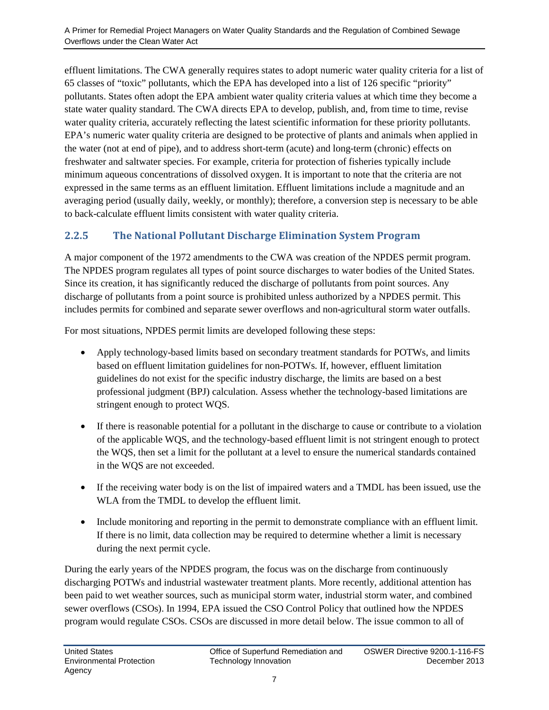effluent limitations. The CWA generally requires states to adopt numeric water quality criteria for a list of 65 classes of "toxic" pollutants, which the EPA has developed into a list of 126 specific "priority" pollutants. States often adopt the EPA ambient water quality criteria values at which time they become a state water quality standard. The CWA directs EPA to develop, publish, and, from time to time, revise water quality criteria, accurately reflecting the latest scientific information for these priority pollutants. EPA's numeric water quality criteria are designed to be protective of plants and animals when applied in the water (not at end of pipe), and to address short-term (acute) and long-term (chronic) effects on freshwater and saltwater species. For example, criteria for protection of fisheries typically include minimum aqueous concentrations of dissolved oxygen. It is important to note that the criteria are not expressed in the same terms as an effluent limitation. Effluent limitations include a magnitude and an averaging period (usually daily, weekly, or monthly); therefore, a conversion step is necessary to be able to back-calculate effluent limits consistent with water quality criteria.

#### <span id="page-8-0"></span>**2.2.5 The National Pollutant Discharge Elimination System Program**

A major component of the 1972 amendments to the CWA was creation of the NPDES permit program. The NPDES program regulates all types of point source discharges to water bodies of the United States. Since its creation, it has significantly reduced the discharge of pollutants from point sources. Any discharge of pollutants from a point source is prohibited unless authorized by a NPDES permit. This includes permits for combined and separate sewer overflows and non-agricultural storm water outfalls.

For most situations, NPDES permit limits are developed following these steps:

- Apply technology-based limits based on secondary treatment standards for POTWs, and limits based on effluent limitation guidelines for non-POTWs. If, however, effluent limitation guidelines do not exist for the specific industry discharge, the limits are based on a best professional judgment (BPJ) calculation. Assess whether the technology-based limitations are stringent enough to protect WQS.
- If there is reasonable potential for a pollutant in the discharge to cause or contribute to a violation of the applicable WQS, and the technology-based effluent limit is not stringent enough to protect the WQS, then set a limit for the pollutant at a level to ensure the numerical standards contained in the WQS are not exceeded.
- If the receiving water body is on the list of impaired waters and a TMDL has been issued, use the WLA from the TMDL to develop the effluent limit.
- Include monitoring and reporting in the permit to demonstrate compliance with an effluent limit. If there is no limit, data collection may be required to determine whether a limit is necessary during the next permit cycle.

During the early years of the NPDES program, the focus was on the discharge from continuously discharging POTWs and industrial wastewater treatment plants. More recently, additional attention has been paid to wet weather sources, such as municipal storm water, industrial storm water, and combined sewer overflows (CSOs). In 1994, EPA issued the CSO Control Policy that outlined how the NPDES program would regulate CSOs. CSOs are discussed in more detail below. The issue common to all of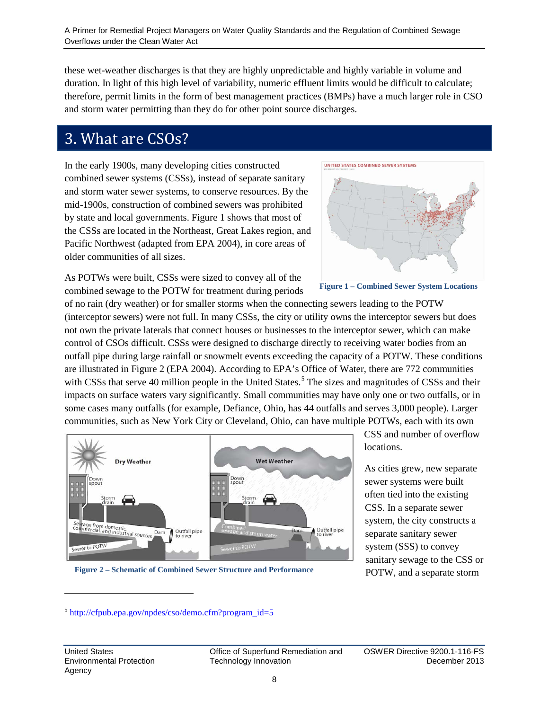these wet-weather discharges is that they are highly unpredictable and highly variable in volume and duration. In light of this high level of variability, numeric effluent limits would be difficult to calculate; therefore, permit limits in the form of best management practices (BMPs) have a much larger role in CSO and storm water permitting than they do for other point source discharges.

### <span id="page-9-0"></span>3. What are CSOs?

In the early 1900s, many developing cities constructed combined sewer systems (CSSs), instead of separate sanitary and storm water sewer systems, to conserve resources. By the mid-1900s, construction of combined sewers was prohibited by state and local governments. Figure 1 shows that most of the CSSs are located in the Northeast, Great Lakes region, and Pacific Northwest (adapted from EPA 2004), in core areas of older communities of all sizes.



As POTWs were built, CSSs were sized to convey all of the combined sewage to the POTW for treatment during periods

of no rain (dry weather) or for smaller storms when the connecting sewers leading to the POTW (interceptor sewers) were not full. In many CSSs, the city or utility owns the interceptor sewers but does not own the private laterals that connect houses or businesses to the interceptor sewer, which can make control of CSOs difficult. CSSs were designed to discharge directly to receiving water bodies from an outfall pipe during large rainfall or snowmelt events exceeding the capacity of a POTW. These conditions are illustrated in Figure 2 (EPA 2004). According to EPA's Office of Water, there are 772 communities with CSSs that serve 40 million people in the United States.<sup>[5](#page-9-1)</sup> The sizes and magnitudes of CSSs and their impacts on surface waters vary significantly. Small communities may have only one or two outfalls, or in some cases many outfalls (for example, Defiance, Ohio, has 44 outfalls and serves 3,000 people). Larger communities, such as New York City or Cleveland, Ohio, can have multiple POTWs, each with its own



**Figure 2 – Schematic of Combined Sewer Structure and Performance**

CSS and number of overflow locations.

As cities grew, new separate sewer systems were built often tied into the existing CSS. In a separate sewer system, the city constructs a separate sanitary sewer system (SSS) to convey sanitary sewage to the CSS or POTW, and a separate storm

 $\ddot{\phantom{a}}$ 

<span id="page-9-1"></span> $5$  [http://cfpub.epa.gov/npdes/cso/demo.cfm?program\\_id=5](http://cfpub.epa.gov/npdes/cso/demo.cfm?program_id=5)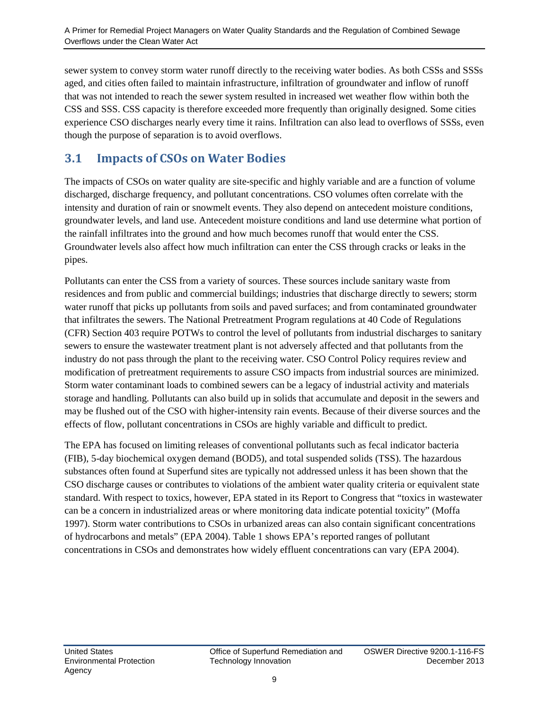sewer system to convey storm water runoff directly to the receiving water bodies. As both CSSs and SSSs aged, and cities often failed to maintain infrastructure, infiltration of groundwater and inflow of runoff that was not intended to reach the sewer system resulted in increased wet weather flow within both the CSS and SSS. CSS capacity is therefore exceeded more frequently than originally designed. Some cities experience CSO discharges nearly every time it rains. Infiltration can also lead to overflows of SSSs, even though the purpose of separation is to avoid overflows.

#### <span id="page-10-0"></span>**3.1 Impacts of CSOs on Water Bodies**

The impacts of CSOs on water quality are site-specific and highly variable and are a function of volume discharged, discharge frequency, and pollutant concentrations. CSO volumes often correlate with the intensity and duration of rain or snowmelt events. They also depend on antecedent moisture conditions, groundwater levels, and land use. Antecedent moisture conditions and land use determine what portion of the rainfall infiltrates into the ground and how much becomes runoff that would enter the CSS. Groundwater levels also affect how much infiltration can enter the CSS through cracks or leaks in the pipes.

Pollutants can enter the CSS from a variety of sources. These sources include sanitary waste from residences and from public and commercial buildings; industries that discharge directly to sewers; storm water runoff that picks up pollutants from soils and paved surfaces; and from contaminated groundwater that infiltrates the sewers. The National Pretreatment Program regulations at 40 Code of Regulations (CFR) Section 403 require POTWs to control the level of pollutants from industrial discharges to sanitary sewers to ensure the wastewater treatment plant is not adversely affected and that pollutants from the industry do not pass through the plant to the receiving water. CSO Control Policy requires review and modification of pretreatment requirements to assure CSO impacts from industrial sources are minimized. Storm water contaminant loads to combined sewers can be a legacy of industrial activity and materials storage and handling. Pollutants can also build up in solids that accumulate and deposit in the sewers and may be flushed out of the CSO with higher-intensity rain events. Because of their diverse sources and the effects of flow, pollutant concentrations in CSOs are highly variable and difficult to predict.

The EPA has focused on limiting releases of conventional pollutants such as fecal indicator bacteria (FIB), 5-day biochemical oxygen demand (BOD5), and total suspended solids (TSS). The hazardous substances often found at Superfund sites are typically not addressed unless it has been shown that the CSO discharge causes or contributes to violations of the ambient water quality criteria or equivalent state standard. With respect to toxics, however, EPA stated in its Report to Congress that "toxics in wastewater can be a concern in industrialized areas or where monitoring data indicate potential toxicity" (Moffa 1997). Storm water contributions to CSOs in urbanized areas can also contain significant concentrations of hydrocarbons and metals" (EPA 2004). Table 1 shows EPA's reported ranges of pollutant concentrations in CSOs and demonstrates how widely effluent concentrations can vary (EPA 2004).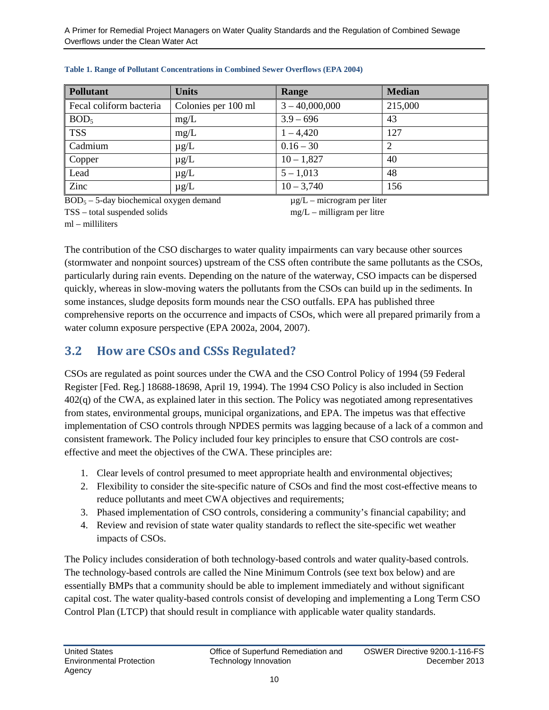| <b>Pollutant</b>        | <b>Units</b>        | Range            | <b>Median</b> |
|-------------------------|---------------------|------------------|---------------|
| Fecal coliform bacteria | Colonies per 100 ml | $3 - 40,000,000$ | 215,000       |
| BOD <sub>5</sub>        | mg/L                | $3.9 - 696$      | 43            |
| <b>TSS</b>              | mg/L                | $1 - 4,420$      | 127           |
| Cadmium                 | $\mu$ g/L           | $0.16 - 30$      | 2             |
| Copper                  | $\mu$ g/L           | $10 - 1,827$     | 40            |
| Lead                    | $\mu$ g/L           | $5 - 1,013$      | 48            |
| Zinc                    | $\mu$ g/L           | $10 - 3,740$     | 156           |

#### **Table 1. Range of Pollutant Concentrations in Combined Sewer Overflows (EPA 2004)**

 $BOD<sub>5</sub> - 5$ -day biochemical oxygen demand

 $\mu$ g/L – microgram per liter mg/L – milligram per litre

TSS – total suspended solids ml – milliliters

The contribution of the CSO discharges to water quality impairments can vary because other sources (stormwater and nonpoint sources) upstream of the CSS often contribute the same pollutants as the CSOs, particularly during rain events. Depending on the nature of the waterway, CSO impacts can be dispersed quickly, whereas in slow-moving waters the pollutants from the CSOs can build up in the sediments. In some instances, sludge deposits form mounds near the CSO outfalls. EPA has published three comprehensive reports on the occurrence and impacts of CSOs, which were all prepared primarily from a water column exposure perspective (EPA 2002a, 2004, 2007).

#### <span id="page-11-0"></span>**3.2 How are CSOs and CSSs Regulated?**

CSOs are regulated as point sources under the CWA and the CSO Control Policy of 1994 (59 Federal Register [Fed. Reg.] 18688-18698, April 19, 1994). The 1994 CSO Policy is also included in Section 402(q) of the CWA, as explained later in this section. The Policy was negotiated among representatives from states, environmental groups, municipal organizations, and EPA. The impetus was that effective implementation of CSO controls through NPDES permits was lagging because of a lack of a common and consistent framework. The Policy included four key principles to ensure that CSO controls are costeffective and meet the objectives of the CWA. These principles are:

- 1. Clear levels of control presumed to meet appropriate health and environmental objectives;
- 2. Flexibility to consider the site-specific nature of CSOs and find the most cost-effective means to reduce pollutants and meet CWA objectives and requirements;
- 3. Phased implementation of CSO controls, considering a community's financial capability; and
- 4. Review and revision of state water quality standards to reflect the site-specific wet weather impacts of CSOs.

The Policy includes consideration of both technology-based controls and water quality-based controls. The technology-based controls are called the Nine Minimum Controls (see text box below) and are essentially BMPs that a community should be able to implement immediately and without significant capital cost. The water quality-based controls consist of developing and implementing a Long Term CSO Control Plan (LTCP) that should result in compliance with applicable water quality standards.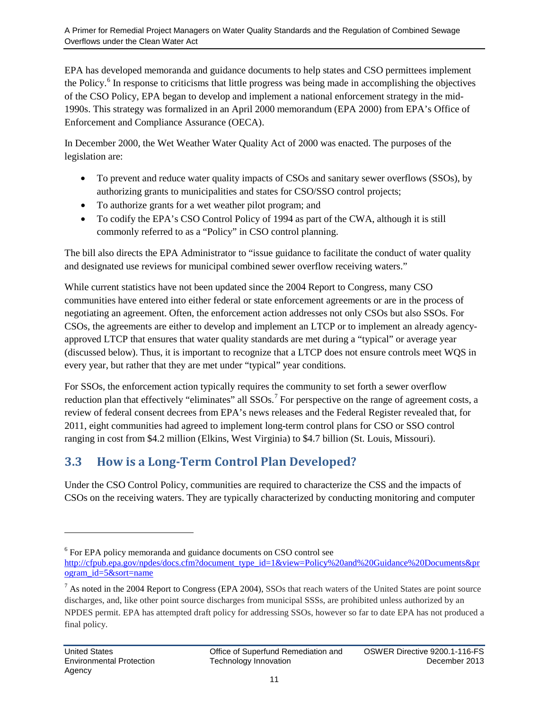EPA has developed memoranda and guidance documents to help states and CSO permittees implement the Policy. [6](#page-12-1) In response to criticisms that little progress was being made in accomplishing the objectives of the CSO Policy, EPA began to develop and implement a national enforcement strategy in the mid-1990s. This strategy was formalized in an April 2000 memorandum (EPA 2000) from EPA's Office of Enforcement and Compliance Assurance (OECA).

In December 2000, the Wet Weather Water Quality Act of 2000 was enacted. The purposes of the legislation are:

- To prevent and reduce water quality impacts of CSOs and sanitary sewer overflows (SSOs), by authorizing grants to municipalities and states for CSO/SSO control projects;
- To authorize grants for a wet weather pilot program; and
- To codify the EPA's CSO Control Policy of 1994 as part of the CWA, although it is still commonly referred to as a "Policy" in CSO control planning.

The bill also directs the EPA Administrator to "issue guidance to facilitate the conduct of water quality and designated use reviews for municipal combined sewer overflow receiving waters."

While current statistics have not been updated since the 2004 Report to Congress, many CSO communities have entered into either federal or state enforcement agreements or are in the process of negotiating an agreement. Often, the enforcement action addresses not only CSOs but also SSOs. For CSOs, the agreements are either to develop and implement an LTCP or to implement an already agencyapproved LTCP that ensures that water quality standards are met during a "typical" or average year (discussed below). Thus, it is important to recognize that a LTCP does not ensure controls meet WQS in every year, but rather that they are met under "typical" year conditions.

For SSOs, the enforcement action typically requires the community to set forth a sewer overflow reduction plan that effectively "eliminates" all SSOs.<sup>[7](#page-12-2)</sup> For perspective on the range of agreement costs, a review of federal consent decrees from EPA's news releases and the Federal Register revealed that, for 2011, eight communities had agreed to implement long-term control plans for CSO or SSO control ranging in cost from \$4.2 million (Elkins, West Virginia) to \$4.7 billion (St. Louis, Missouri).

### <span id="page-12-0"></span>**3.3 How is a Long-Term Control Plan Developed?**

Under the CSO Control Policy, communities are required to characterize the CSS and the impacts of CSOs on the receiving waters. They are typically characterized by conducting monitoring and computer

 $\overline{a}$ 

<span id="page-12-1"></span><sup>6</sup> For EPA policy memoranda and guidance documents on CSO control see

[http://cfpub.epa.gov/npdes/docs.cfm?document\\_type\\_id=1&view=Policy%20and%20Guidance%20Documents&pr](http://cfpub.epa.gov/npdes/docs.cfm?document_type_id=1&view=Policy%20and%20Guidance%20Documents&program_id=5&sort=name) [ogram\\_id=5&sort=name](http://cfpub.epa.gov/npdes/docs.cfm?document_type_id=1&view=Policy%20and%20Guidance%20Documents&program_id=5&sort=name)

<span id="page-12-2"></span> $^7$  As noted in the 2004 Report to Congress (EPA 2004), SSOs that reach waters of the United States are point source discharges, and, like other point source discharges from municipal SSSs, are prohibited unless authorized by an NPDES permit. EPA has attempted draft policy for addressing SSOs, however so far to date EPA has not produced a final policy.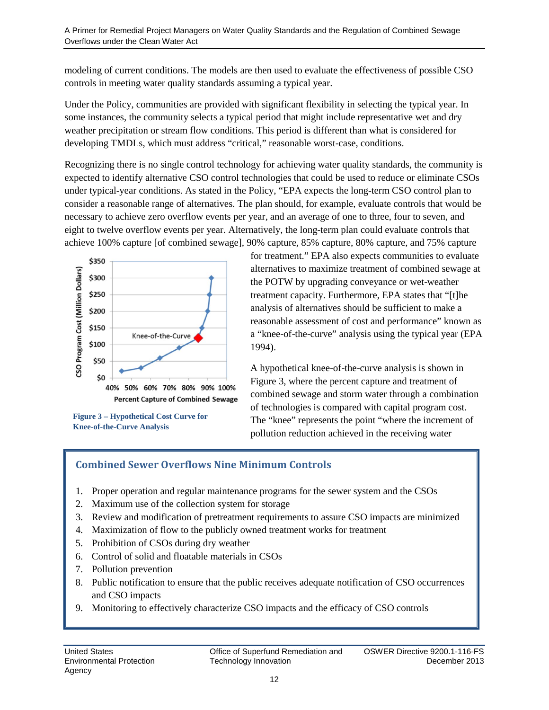modeling of current conditions. The models are then used to evaluate the effectiveness of possible CSO controls in meeting water quality standards assuming a typical year.

Under the Policy, communities are provided with significant flexibility in selecting the typical year. In some instances, the community selects a typical period that might include representative wet and dry weather precipitation or stream flow conditions. This period is different than what is considered for developing TMDLs, which must address "critical," reasonable worst-case, conditions.

Recognizing there is no single control technology for achieving water quality standards, the community is expected to identify alternative CSO control technologies that could be used to reduce or eliminate CSOs under typical-year conditions. As stated in the Policy, "EPA expects the long-term CSO control plan to consider a reasonable range of alternatives. The plan should, for example, evaluate controls that would be necessary to achieve zero overflow events per year, and an average of one to three, four to seven, and eight to twelve overflow events per year. Alternatively, the long-term plan could evaluate controls that achieve 100% capture [of combined sewage], 90% capture, 85% capture, 80% capture, and 75% capture



**Figure 3 – Hypothetical Cost Curve for Knee-of-the-Curve Analysis**

for treatment." EPA also expects communities to evaluate alternatives to maximize treatment of combined sewage at the POTW by upgrading conveyance or wet-weather treatment capacity. Furthermore, EPA states that "[t]he analysis of alternatives should be sufficient to make a reasonable assessment of cost and performance" known as a "knee-of-the-curve" analysis using the typical year (EPA 1994).

A hypothetical knee-of-the-curve analysis is shown in Figure 3, where the percent capture and treatment of combined sewage and storm water through a combination of technologies is compared with capital program cost. The "knee" represents the point "where the increment of pollution reduction achieved in the receiving water

#### **Combined Sewer Overflows Nine Minimum Controls**

- 1. Proper operation and regular maintenance programs for the sewer system and the CSOs
- 2. Maximum use of the collection system for storage
- 3. Review and modification of pretreatment requirements to assure CSO impacts are minimized
- 4. Maximization of flow to the publicly owned treatment works for treatment
- 5. Prohibition of CSOs during dry weather
- 6. Control of solid and floatable materials in CSOs
- 7. Pollution prevention
- 8. Public notification to ensure that the public receives adequate notification of CSO occurrences and CSO impacts
- 9. Monitoring to effectively characterize CSO impacts and the efficacy of CSO controls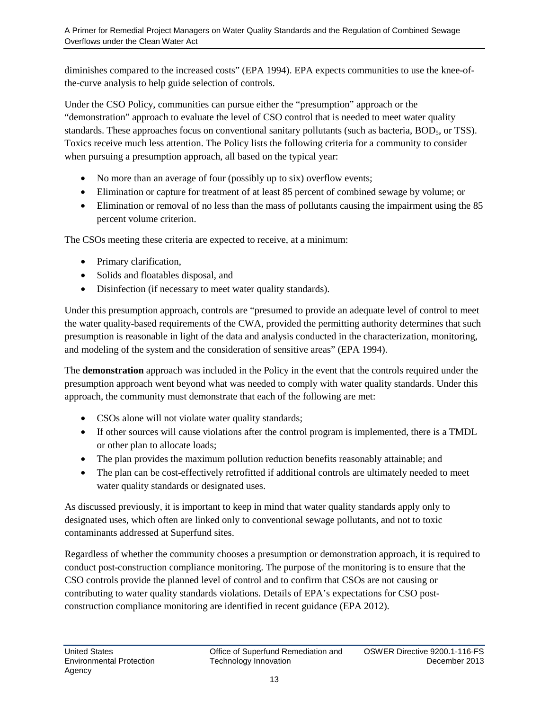diminishes compared to the increased costs" (EPA 1994). EPA expects communities to use the knee-ofthe-curve analysis to help guide selection of controls.

Under the CSO Policy, communities can pursue either the "presumption" approach or the "demonstration" approach to evaluate the level of CSO control that is needed to meet water quality standards. These approaches focus on conventional sanitary pollutants (such as bacteria, BOD<sub>5</sub>, or TSS). Toxics receive much less attention. The Policy lists the following criteria for a community to consider when pursuing a presumption approach, all based on the typical year:

- No more than an average of four (possibly up to six) overflow events;
- Elimination or capture for treatment of at least 85 percent of combined sewage by volume; or
- Elimination or removal of no less than the mass of pollutants causing the impairment using the 85 percent volume criterion.

The CSOs meeting these criteria are expected to receive, at a minimum:

- Primary clarification,
- Solids and floatables disposal, and
- Disinfection (if necessary to meet water quality standards).

Under this presumption approach, controls are "presumed to provide an adequate level of control to meet the water quality-based requirements of the CWA, provided the permitting authority determines that such presumption is reasonable in light of the data and analysis conducted in the characterization, monitoring, and modeling of the system and the consideration of sensitive areas" (EPA 1994).

The **demonstration** approach was included in the Policy in the event that the controls required under the presumption approach went beyond what was needed to comply with water quality standards. Under this approach, the community must demonstrate that each of the following are met:

- CSOs alone will not violate water quality standards;
- If other sources will cause violations after the control program is implemented, there is a TMDL or other plan to allocate loads;
- The plan provides the maximum pollution reduction benefits reasonably attainable; and
- The plan can be cost-effectively retrofitted if additional controls are ultimately needed to meet water quality standards or designated uses.

As discussed previously, it is important to keep in mind that water quality standards apply only to designated uses, which often are linked only to conventional sewage pollutants, and not to toxic contaminants addressed at Superfund sites.

Regardless of whether the community chooses a presumption or demonstration approach, it is required to conduct post-construction compliance monitoring. The purpose of the monitoring is to ensure that the CSO controls provide the planned level of control and to confirm that CSOs are not causing or contributing to water quality standards violations. Details of EPA's expectations for CSO postconstruction compliance monitoring are identified in recent guidance (EPA 2012).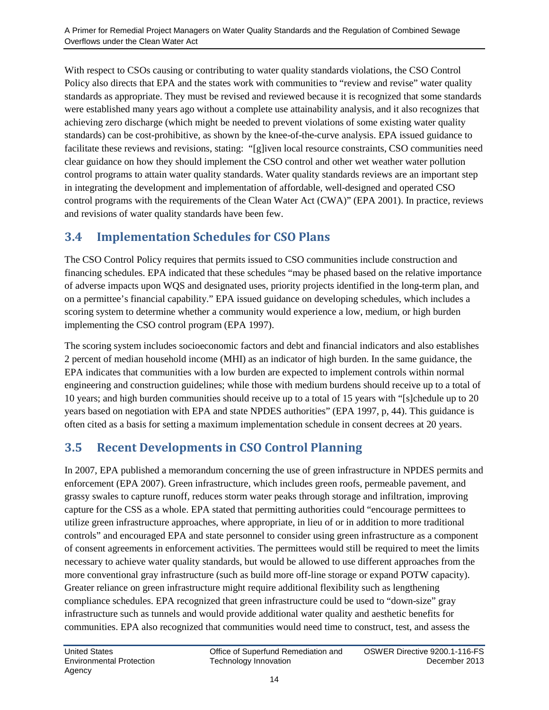With respect to CSOs causing or contributing to water quality standards violations, the CSO Control Policy also directs that EPA and the states work with communities to "review and revise" water quality standards as appropriate. They must be revised and reviewed because it is recognized that some standards were established many years ago without a complete use attainability analysis, and it also recognizes that achieving zero discharge (which might be needed to prevent violations of some existing water quality standards) can be cost-prohibitive, as shown by the knee-of-the-curve analysis. EPA issued guidance to facilitate these reviews and revisions, stating: "[g]iven local resource constraints, CSO communities need clear guidance on how they should implement the CSO control and other wet weather water pollution control programs to attain water quality standards. Water quality standards reviews are an important step in integrating the development and implementation of affordable, well-designed and operated CSO control programs with the requirements of the Clean Water Act (CWA)" (EPA 2001). In practice, reviews and revisions of water quality standards have been few.

#### <span id="page-15-0"></span>**3.4 Implementation Schedules for CSO Plans**

The CSO Control Policy requires that permits issued to CSO communities include construction and financing schedules. EPA indicated that these schedules "may be phased based on the relative importance of adverse impacts upon WQS and designated uses, priority projects identified in the long-term plan, and on a permittee's financial capability." EPA issued guidance on developing schedules, which includes a scoring system to determine whether a community would experience a low, medium, or high burden implementing the CSO control program (EPA 1997).

The scoring system includes socioeconomic factors and debt and financial indicators and also establishes 2 percent of median household income (MHI) as an indicator of high burden. In the same guidance, the EPA indicates that communities with a low burden are expected to implement controls within normal engineering and construction guidelines; while those with medium burdens should receive up to a total of 10 years; and high burden communities should receive up to a total of 15 years with "[s]chedule up to 20 years based on negotiation with EPA and state NPDES authorities" (EPA 1997, p, 44). This guidance is often cited as a basis for setting a maximum implementation schedule in consent decrees at 20 years.

### <span id="page-15-1"></span>**3.5 Recent Developments in CSO Control Planning**

In 2007, EPA published a memorandum concerning the use of green infrastructure in NPDES permits and enforcement (EPA 2007). Green infrastructure, which includes green roofs, permeable pavement, and grassy swales to capture runoff, reduces storm water peaks through storage and infiltration, improving capture for the CSS as a whole. EPA stated that permitting authorities could "encourage permittees to utilize green infrastructure approaches, where appropriate, in lieu of or in addition to more traditional controls" and encouraged EPA and state personnel to consider using green infrastructure as a component of consent agreements in enforcement activities. The permittees would still be required to meet the limits necessary to achieve water quality standards, but would be allowed to use different approaches from the more conventional gray infrastructure (such as build more off-line storage or expand POTW capacity). Greater reliance on green infrastructure might require additional flexibility such as lengthening compliance schedules. EPA recognized that green infrastructure could be used to "down-size" gray infrastructure such as tunnels and would provide additional water quality and aesthetic benefits for communities. EPA also recognized that communities would need time to construct, test, and assess the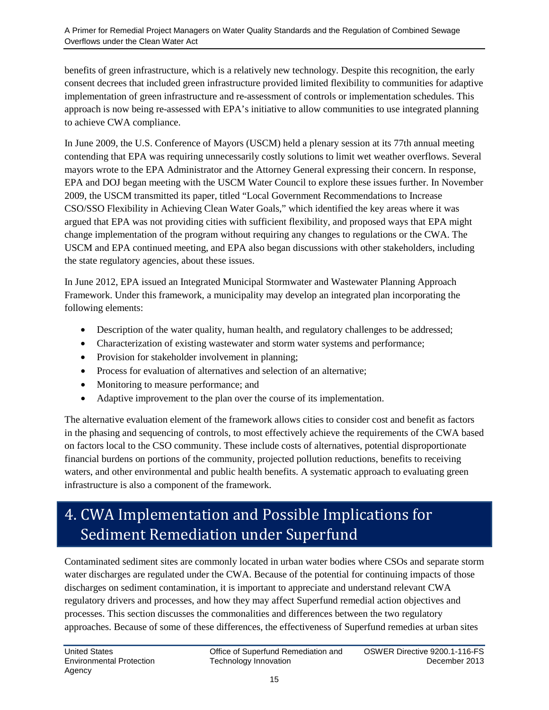benefits of green infrastructure, which is a relatively new technology. Despite this recognition, the early consent decrees that included green infrastructure provided limited flexibility to communities for adaptive implementation of green infrastructure and re-assessment of controls or implementation schedules. This approach is now being re-assessed with EPA's initiative to allow communities to use integrated planning to achieve CWA compliance.

In June 2009, the U.S. Conference of Mayors (USCM) held a plenary session at its 77th annual meeting contending that EPA was requiring unnecessarily costly solutions to limit wet weather overflows. Several mayors wrote to the EPA Administrator and the Attorney General expressing their concern. In response, EPA and DOJ began meeting with the USCM Water Council to explore these issues further. In November 2009, the USCM transmitted its paper, titled "Local Government Recommendations to Increase CSO/SSO Flexibility in Achieving Clean Water Goals," which identified the key areas where it was argued that EPA was not providing cities with sufficient flexibility, and proposed ways that EPA might change implementation of the program without requiring any changes to regulations or the CWA. The USCM and EPA continued meeting, and EPA also began discussions with other stakeholders, including the state regulatory agencies, about these issues.

In June 2012, EPA issued an Integrated Municipal Stormwater and Wastewater Planning Approach Framework. Under this framework, a municipality may develop an integrated plan incorporating the following elements:

- Description of the water quality, human health, and regulatory challenges to be addressed;
- Characterization of existing wastewater and storm water systems and performance;
- Provision for stakeholder involvement in planning;
- Process for evaluation of alternatives and selection of an alternative;
- Monitoring to measure performance; and
- Adaptive improvement to the plan over the course of its implementation.

The alternative evaluation element of the framework allows cities to consider cost and benefit as factors in the phasing and sequencing of controls, to most effectively achieve the requirements of the CWA based on factors local to the CSO community. These include costs of alternatives, potential disproportionate financial burdens on portions of the community, projected pollution reductions, benefits to receiving waters, and other environmental and public health benefits. A systematic approach to evaluating green infrastructure is also a component of the framework.

# <span id="page-16-0"></span>4. CWA Implementation and Possible Implications for Sediment Remediation under Superfund

Contaminated sediment sites are commonly located in urban water bodies where CSOs and separate storm water discharges are regulated under the CWA. Because of the potential for continuing impacts of those discharges on sediment contamination, it is important to appreciate and understand relevant CWA regulatory drivers and processes, and how they may affect Superfund remedial action objectives and processes. This section discusses the commonalities and differences between the two regulatory approaches. Because of some of these differences, the effectiveness of Superfund remedies at urban sites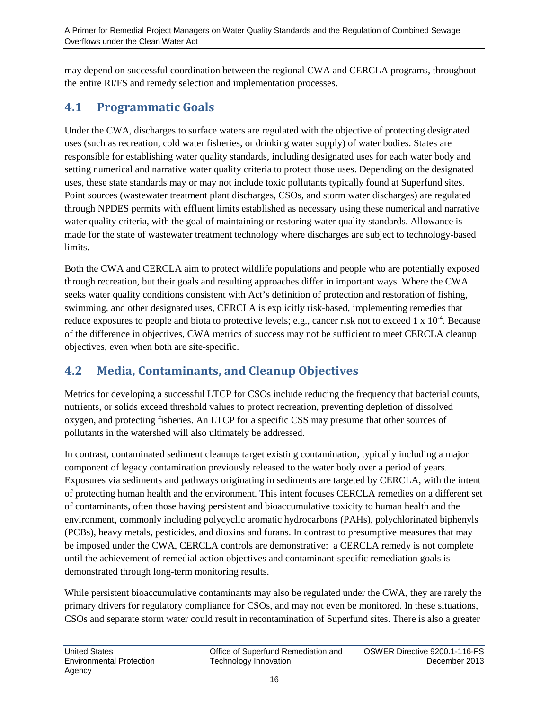may depend on successful coordination between the regional CWA and CERCLA programs, throughout the entire RI/FS and remedy selection and implementation processes.

#### <span id="page-17-0"></span>**4.1 Programmatic Goals**

Under the CWA, discharges to surface waters are regulated with the objective of protecting designated uses (such as recreation, cold water fisheries, or drinking water supply) of water bodies. States are responsible for establishing water quality standards, including designated uses for each water body and setting numerical and narrative water quality criteria to protect those uses. Depending on the designated uses, these state standards may or may not include toxic pollutants typically found at Superfund sites. Point sources (wastewater treatment plant discharges, CSOs, and storm water discharges) are regulated through NPDES permits with effluent limits established as necessary using these numerical and narrative water quality criteria, with the goal of maintaining or restoring water quality standards. Allowance is made for the state of wastewater treatment technology where discharges are subject to technology-based limits.

Both the CWA and CERCLA aim to protect wildlife populations and people who are potentially exposed through recreation, but their goals and resulting approaches differ in important ways. Where the CWA seeks water quality conditions consistent with Act's definition of protection and restoration of fishing, swimming, and other designated uses, CERCLA is explicitly risk-based, implementing remedies that reduce exposures to people and biota to protective levels; e.g., cancer risk not to exceed  $1 \times 10^{-4}$ . Because of the difference in objectives, CWA metrics of success may not be sufficient to meet CERCLA cleanup objectives, even when both are site-specific.

### <span id="page-17-1"></span>**4.2 Media, Contaminants, and Cleanup Objectives**

Metrics for developing a successful LTCP for CSOs include reducing the frequency that bacterial counts, nutrients, or solids exceed threshold values to protect recreation, preventing depletion of dissolved oxygen, and protecting fisheries. An LTCP for a specific CSS may presume that other sources of pollutants in the watershed will also ultimately be addressed.

In contrast, contaminated sediment cleanups target existing contamination, typically including a major component of legacy contamination previously released to the water body over a period of years. Exposures via sediments and pathways originating in sediments are targeted by CERCLA, with the intent of protecting human health and the environment. This intent focuses CERCLA remedies on a different set of contaminants, often those having persistent and bioaccumulative toxicity to human health and the environment, commonly including polycyclic aromatic hydrocarbons (PAHs), polychlorinated biphenyls (PCBs), heavy metals, pesticides, and dioxins and furans. In contrast to presumptive measures that may be imposed under the CWA, CERCLA controls are demonstrative: a CERCLA remedy is not complete until the achievement of remedial action objectives and contaminant-specific remediation goals is demonstrated through long-term monitoring results.

While persistent bioaccumulative contaminants may also be regulated under the CWA, they are rarely the primary drivers for regulatory compliance for CSOs, and may not even be monitored. In these situations, CSOs and separate storm water could result in recontamination of Superfund sites. There is also a greater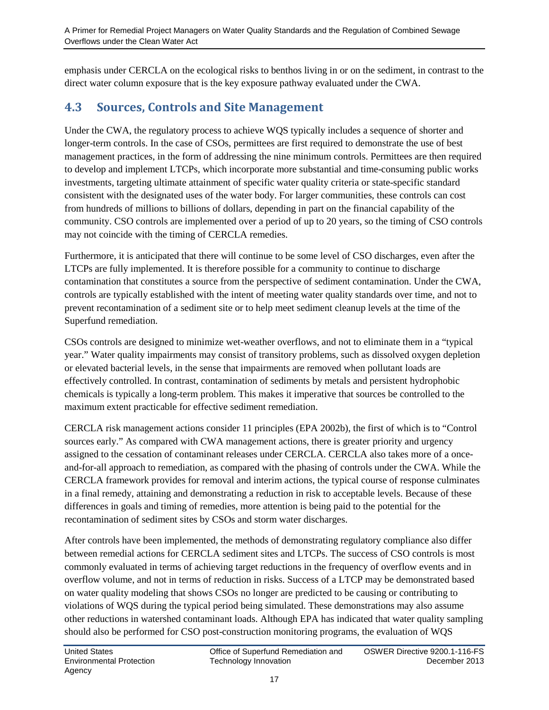emphasis under CERCLA on the ecological risks to benthos living in or on the sediment, in contrast to the direct water column exposure that is the key exposure pathway evaluated under the CWA.

### <span id="page-18-0"></span>**4.3 Sources, Controls and Site Management**

Under the CWA, the regulatory process to achieve WQS typically includes a sequence of shorter and longer-term controls. In the case of CSOs, permittees are first required to demonstrate the use of best management practices, in the form of addressing the nine minimum controls. Permittees are then required to develop and implement LTCPs, which incorporate more substantial and time-consuming public works investments, targeting ultimate attainment of specific water quality criteria or state-specific standard consistent with the designated uses of the water body. For larger communities, these controls can cost from hundreds of millions to billions of dollars, depending in part on the financial capability of the community. CSO controls are implemented over a period of up to 20 years, so the timing of CSO controls may not coincide with the timing of CERCLA remedies.

Furthermore, it is anticipated that there will continue to be some level of CSO discharges, even after the LTCPs are fully implemented. It is therefore possible for a community to continue to discharge contamination that constitutes a source from the perspective of sediment contamination. Under the CWA, controls are typically established with the intent of meeting water quality standards over time, and not to prevent recontamination of a sediment site or to help meet sediment cleanup levels at the time of the Superfund remediation.

CSOs controls are designed to minimize wet-weather overflows, and not to eliminate them in a "typical year." Water quality impairments may consist of transitory problems, such as dissolved oxygen depletion or elevated bacterial levels, in the sense that impairments are removed when pollutant loads are effectively controlled. In contrast, contamination of sediments by metals and persistent hydrophobic chemicals is typically a long-term problem. This makes it imperative that sources be controlled to the maximum extent practicable for effective sediment remediation.

CERCLA risk management actions consider 11 principles (EPA 2002b), the first of which is to "Control sources early." As compared with CWA management actions, there is greater priority and urgency assigned to the cessation of contaminant releases under CERCLA. CERCLA also takes more of a onceand-for-all approach to remediation, as compared with the phasing of controls under the CWA. While the CERCLA framework provides for removal and interim actions, the typical course of response culminates in a final remedy, attaining and demonstrating a reduction in risk to acceptable levels. Because of these differences in goals and timing of remedies, more attention is being paid to the potential for the recontamination of sediment sites by CSOs and storm water discharges.

After controls have been implemented, the methods of demonstrating regulatory compliance also differ between remedial actions for CERCLA sediment sites and LTCPs. The success of CSO controls is most commonly evaluated in terms of achieving target reductions in the frequency of overflow events and in overflow volume, and not in terms of reduction in risks. Success of a LTCP may be demonstrated based on water quality modeling that shows CSOs no longer are predicted to be causing or contributing to violations of WQS during the typical period being simulated. These demonstrations may also assume other reductions in watershed contaminant loads. Although EPA has indicated that water quality sampling should also be performed for CSO post-construction monitoring programs, the evaluation of WQS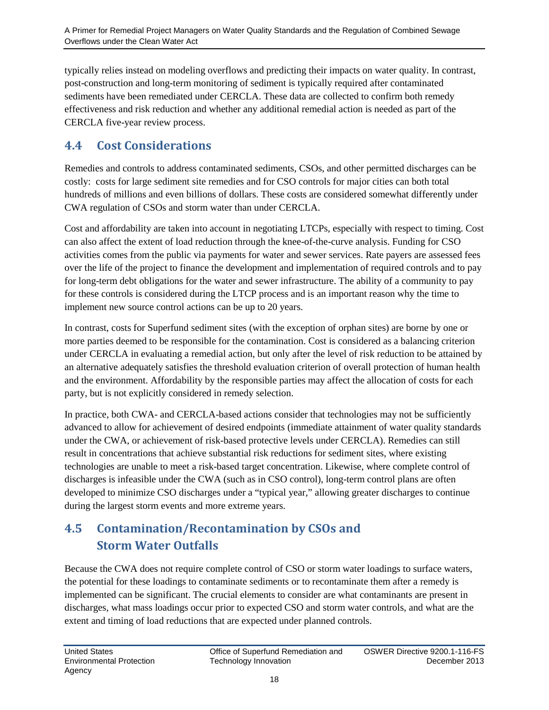typically relies instead on modeling overflows and predicting their impacts on water quality. In contrast, post-construction and long-term monitoring of sediment is typically required after contaminated sediments have been remediated under CERCLA. These data are collected to confirm both remedy effectiveness and risk reduction and whether any additional remedial action is needed as part of the CERCLA five-year review process.

#### <span id="page-19-0"></span>**4.4 Cost Considerations**

Remedies and controls to address contaminated sediments, CSOs, and other permitted discharges can be costly: costs for large sediment site remedies and for CSO controls for major cities can both total hundreds of millions and even billions of dollars. These costs are considered somewhat differently under CWA regulation of CSOs and storm water than under CERCLA.

Cost and affordability are taken into account in negotiating LTCPs, especially with respect to timing. Cost can also affect the extent of load reduction through the knee-of-the-curve analysis. Funding for CSO activities comes from the public via payments for water and sewer services. Rate payers are assessed fees over the life of the project to finance the development and implementation of required controls and to pay for long-term debt obligations for the water and sewer infrastructure. The ability of a community to pay for these controls is considered during the LTCP process and is an important reason why the time to implement new source control actions can be up to 20 years.

In contrast, costs for Superfund sediment sites (with the exception of orphan sites) are borne by one or more parties deemed to be responsible for the contamination. Cost is considered as a balancing criterion under CERCLA in evaluating a remedial action, but only after the level of risk reduction to be attained by an alternative adequately satisfies the threshold evaluation criterion of overall protection of human health and the environment. Affordability by the responsible parties may affect the allocation of costs for each party, but is not explicitly considered in remedy selection.

In practice, both CWA- and CERCLA-based actions consider that technologies may not be sufficiently advanced to allow for achievement of desired endpoints (immediate attainment of water quality standards under the CWA, or achievement of risk-based protective levels under CERCLA). Remedies can still result in concentrations that achieve substantial risk reductions for sediment sites, where existing technologies are unable to meet a risk-based target concentration. Likewise, where complete control of discharges is infeasible under the CWA (such as in CSO control), long-term control plans are often developed to minimize CSO discharges under a "typical year," allowing greater discharges to continue during the largest storm events and more extreme years.

### <span id="page-19-1"></span>**4.5 Contamination/Recontamination by CSOs and Storm Water Outfalls**

Because the CWA does not require complete control of CSO or storm water loadings to surface waters, the potential for these loadings to contaminate sediments or to recontaminate them after a remedy is implemented can be significant. The crucial elements to consider are what contaminants are present in discharges, what mass loadings occur prior to expected CSO and storm water controls, and what are the extent and timing of load reductions that are expected under planned controls.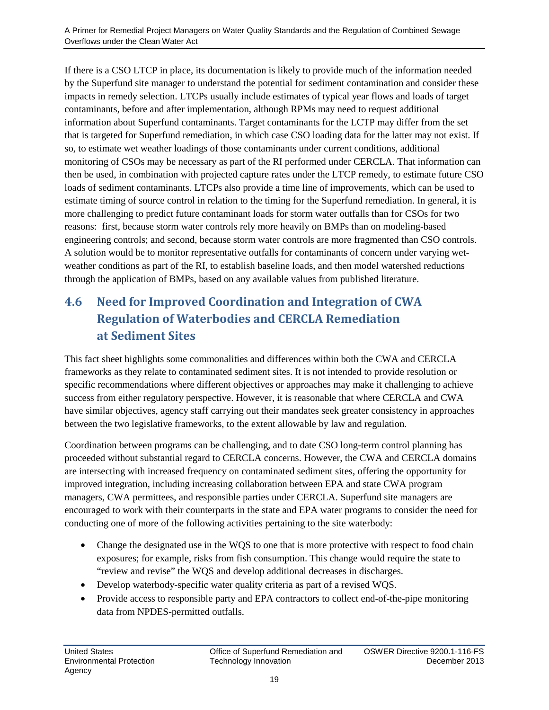If there is a CSO LTCP in place, its documentation is likely to provide much of the information needed by the Superfund site manager to understand the potential for sediment contamination and consider these impacts in remedy selection. LTCPs usually include estimates of typical year flows and loads of target contaminants, before and after implementation, although RPMs may need to request additional information about Superfund contaminants. Target contaminants for the LCTP may differ from the set that is targeted for Superfund remediation, in which case CSO loading data for the latter may not exist. If so, to estimate wet weather loadings of those contaminants under current conditions, additional monitoring of CSOs may be necessary as part of the RI performed under CERCLA. That information can then be used, in combination with projected capture rates under the LTCP remedy, to estimate future CSO loads of sediment contaminants. LTCPs also provide a time line of improvements, which can be used to estimate timing of source control in relation to the timing for the Superfund remediation. In general, it is more challenging to predict future contaminant loads for storm water outfalls than for CSOs for two reasons: first, because storm water controls rely more heavily on BMPs than on modeling-based engineering controls; and second, because storm water controls are more fragmented than CSO controls. A solution would be to monitor representative outfalls for contaminants of concern under varying wetweather conditions as part of the RI, to establish baseline loads, and then model watershed reductions through the application of BMPs, based on any available values from published literature.

### <span id="page-20-0"></span>**4.6 Need for Improved Coordination and Integration of CWA Regulation of Waterbodies and CERCLA Remediation at Sediment Sites**

This fact sheet highlights some commonalities and differences within both the CWA and CERCLA frameworks as they relate to contaminated sediment sites. It is not intended to provide resolution or specific recommendations where different objectives or approaches may make it challenging to achieve success from either regulatory perspective. However, it is reasonable that where CERCLA and CWA have similar objectives, agency staff carrying out their mandates seek greater consistency in approaches between the two legislative frameworks, to the extent allowable by law and regulation.

Coordination between programs can be challenging, and to date CSO long-term control planning has proceeded without substantial regard to CERCLA concerns. However, the CWA and CERCLA domains are intersecting with increased frequency on contaminated sediment sites, offering the opportunity for improved integration, including increasing collaboration between EPA and state CWA program managers, CWA permittees, and responsible parties under CERCLA. Superfund site managers are encouraged to work with their counterparts in the state and EPA water programs to consider the need for conducting one of more of the following activities pertaining to the site waterbody:

- Change the designated use in the WQS to one that is more protective with respect to food chain exposures; for example, risks from fish consumption. This change would require the state to "review and revise" the WQS and develop additional decreases in discharges.
- Develop waterbody-specific water quality criteria as part of a revised WQS.
- Provide access to responsible party and EPA contractors to collect end-of-the-pipe monitoring data from NPDES-permitted outfalls.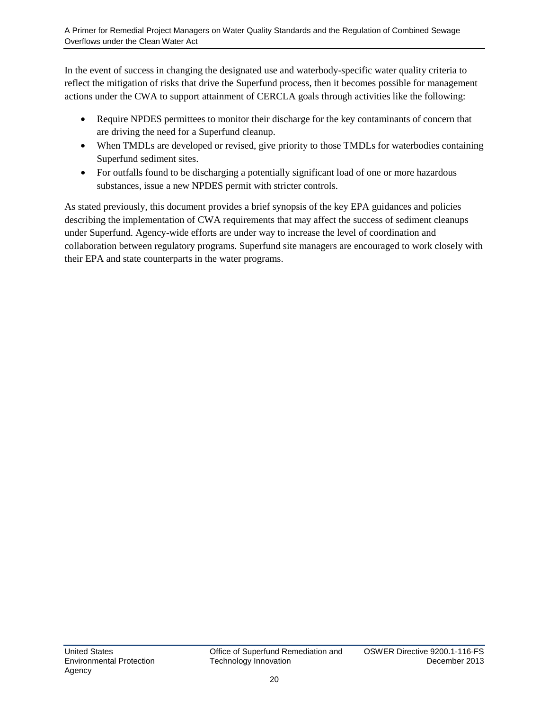In the event of success in changing the designated use and waterbody-specific water quality criteria to reflect the mitigation of risks that drive the Superfund process, then it becomes possible for management actions under the CWA to support attainment of CERCLA goals through activities like the following:

- Require NPDES permittees to monitor their discharge for the key contaminants of concern that are driving the need for a Superfund cleanup.
- When TMDLs are developed or revised, give priority to those TMDLs for waterbodies containing Superfund sediment sites.
- For outfalls found to be discharging a potentially significant load of one or more hazardous substances, issue a new NPDES permit with stricter controls.

As stated previously, this document provides a brief synopsis of the key EPA guidances and policies describing the implementation of CWA requirements that may affect the success of sediment cleanups under Superfund. Agency-wide efforts are under way to increase the level of coordination and collaboration between regulatory programs. Superfund site managers are encouraged to work closely with their EPA and state counterparts in the water programs.